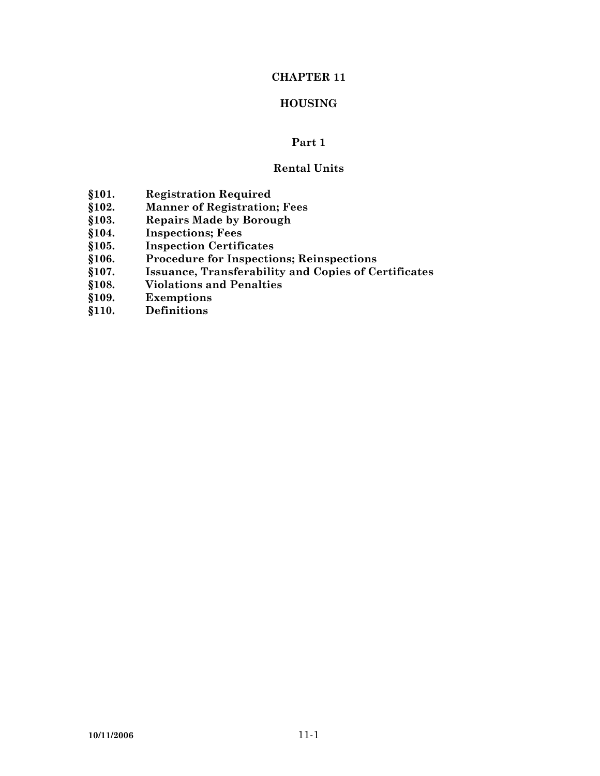# **CHAPTER 11**

# **HOUSING**

## **Part 1**

# **Rental Units**

- 
- **§101. Registration Required §102. Manner of Registration; Fees**
- **§103. Repairs Made by Borough**
- **§104. Inspections; Fees**
- **§105. Inspection Certificates**
- **§106. Procedure for Inspections; Reinspections**
- **§107. Issuance, Transferability and Copies of Certificates**
- **§108. Violations and Penalties**
- **§109. Exemptions**
- **§110. Definitions**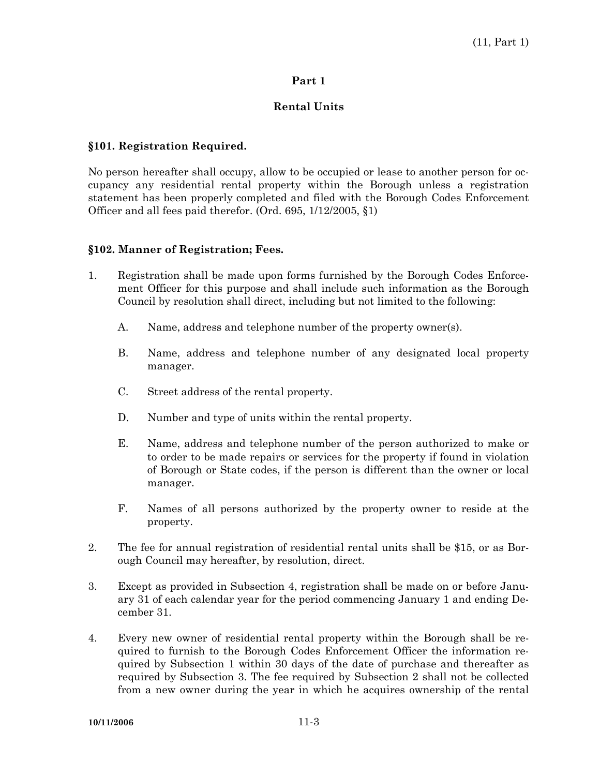### **Part 1**

### **Rental Units**

#### **§101. Registration Required.**

No person hereafter shall occupy, allow to be occupied or lease to another person for occupancy any residential rental property within the Borough unless a registration statement has been properly completed and filed with the Borough Codes Enforcement Officer and all fees paid therefor. (Ord. 695, 1/12/2005, §1)

#### **§102. Manner of Registration; Fees.**

- 1. Registration shall be made upon forms furnished by the Borough Codes Enforcement Officer for this purpose and shall include such information as the Borough Council by resolution shall direct, including but not limited to the following:
	- A. Name, address and telephone number of the property owner(s).
	- B. Name, address and telephone number of any designated local property manager.
	- C. Street address of the rental property.
	- D. Number and type of units within the rental property.
	- E. Name, address and telephone number of the person authorized to make or to order to be made repairs or services for the property if found in violation of Borough or State codes, if the person is different than the owner or local manager.
	- F. Names of all persons authorized by the property owner to reside at the property.
- 2. The fee for annual registration of residential rental units shall be \$15, or as Borough Council may hereafter, by resolution, direct.
- 3. Except as provided in Subsection 4, registration shall be made on or before January 31 of each calendar year for the period commencing January 1 and ending December 31.
- 4. Every new owner of residential rental property within the Borough shall be required to furnish to the Borough Codes Enforcement Officer the information required by Subsection 1 within 30 days of the date of purchase and thereafter as required by Subsection 3. The fee required by Subsection 2 shall not be collected from a new owner during the year in which he acquires ownership of the rental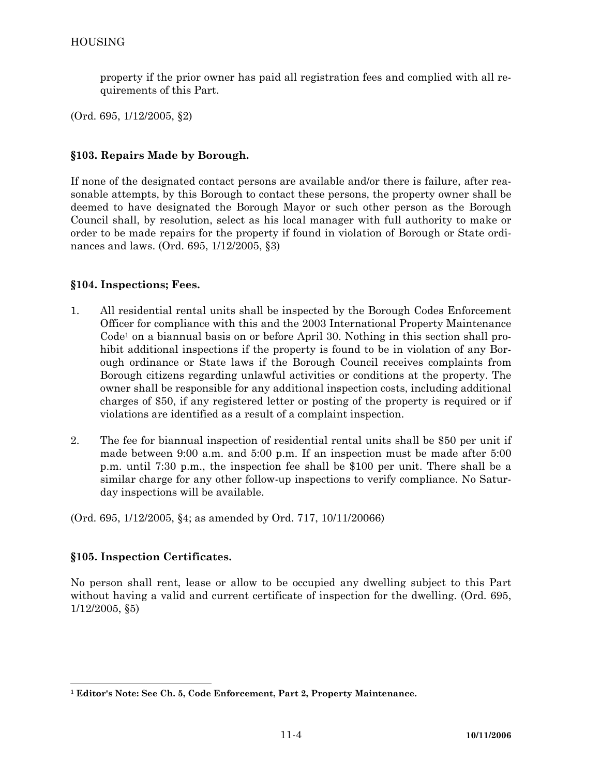property if the prior owner has paid all registration fees and complied with all requirements of this Part.

(Ord. 695, 1/12/2005, §2)

## **§103. Repairs Made by Borough.**

If none of the designated contact persons are available and/or there is failure, after reasonable attempts, by this Borough to contact these persons, the property owner shall be deemed to have designated the Borough Mayor or such other person as the Borough Council shall, by resolution, select as his local manager with full authority to make or order to be made repairs for the property if found in violation of Borough or State ordinances and laws. (Ord. 695, 1/12/2005, §3)

#### **§104. Inspections; Fees.**

- 1. All residential rental units shall be inspected by the Borough Codes Enforcement Officer for compliance with this and the 2003 International Property Maintenance  $Code<sup>1</sup>$  on a biannual basis on or before April 30. Nothing in this section shall prohibit additional inspections if the property is found to be in violation of any Borough ordinance or State laws if the Borough Council receives complaints from Borough citizens regarding unlawful activities or conditions at the property. The owner shall be responsible for any additional inspection costs, including additional charges of \$50, if any registered letter or posting of the property is required or if violations are identified as a result of a complaint inspection.
- 2. The fee for biannual inspection of residential rental units shall be \$50 per unit if made between 9:00 a.m. and 5:00 p.m. If an inspection must be made after 5:00 p.m. until 7:30 p.m., the inspection fee shall be \$100 per unit. There shall be a similar charge for any other follow-up inspections to verify compliance. No Saturday inspections will be available.

(Ord. 695, 1/12/2005, §4; as amended by Ord. 717, 10/11/20066)

## **§105. Inspection Certificates.**

No person shall rent, lease or allow to be occupied any dwelling subject to this Part without having a valid and current certificate of inspection for the dwelling. (Ord. 695, 1/12/2005, §5)

**<sup>1</sup> Editor's Note: See Ch. 5, Code Enforcement, Part 2, Property Maintenance.**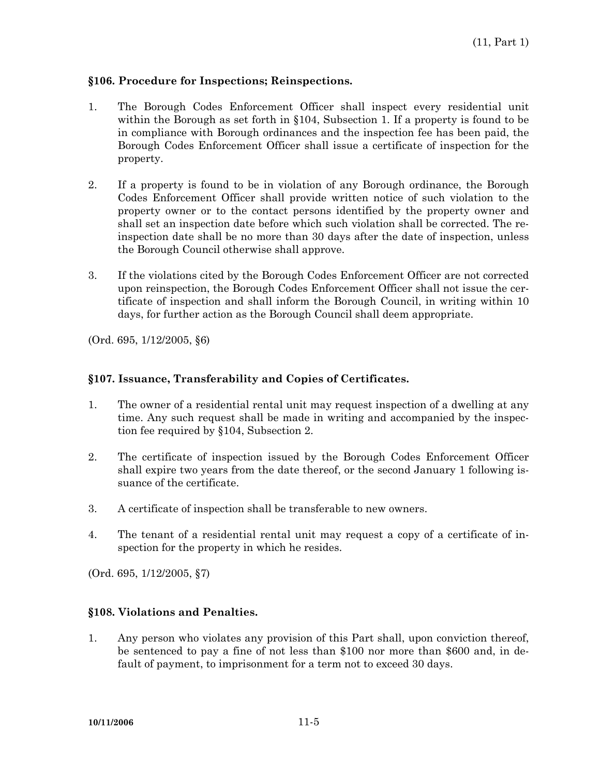#### **§106. Procedure for Inspections; Reinspections.**

- 1. The Borough Codes Enforcement Officer shall inspect every residential unit within the Borough as set forth in §104, Subsection 1. If a property is found to be in compliance with Borough ordinances and the inspection fee has been paid, the Borough Codes Enforcement Officer shall issue a certificate of inspection for the property.
- 2. If a property is found to be in violation of any Borough ordinance, the Borough Codes Enforcement Officer shall provide written notice of such violation to the property owner or to the contact persons identified by the property owner and shall set an inspection date before which such violation shall be corrected. The reinspection date shall be no more than 30 days after the date of inspection, unless the Borough Council otherwise shall approve.
- 3. If the violations cited by the Borough Codes Enforcement Officer are not corrected upon reinspection, the Borough Codes Enforcement Officer shall not issue the certificate of inspection and shall inform the Borough Council, in writing within 10 days, for further action as the Borough Council shall deem appropriate.

(Ord. 695, 1/12/2005, §6)

#### **§107. Issuance, Transferability and Copies of Certificates.**

- 1. The owner of a residential rental unit may request inspection of a dwelling at any time. Any such request shall be made in writing and accompanied by the inspection fee required by §104, Subsection 2.
- 2. The certificate of inspection issued by the Borough Codes Enforcement Officer shall expire two years from the date thereof, or the second January 1 following issuance of the certificate.
- 3. A certificate of inspection shall be transferable to new owners.
- 4. The tenant of a residential rental unit may request a copy of a certificate of inspection for the property in which he resides.

(Ord. 695, 1/12/2005, §7)

## **§108. Violations and Penalties.**

1. Any person who violates any provision of this Part shall, upon conviction thereof, be sentenced to pay a fine of not less than \$100 nor more than \$600 and, in default of payment, to imprisonment for a term not to exceed 30 days.